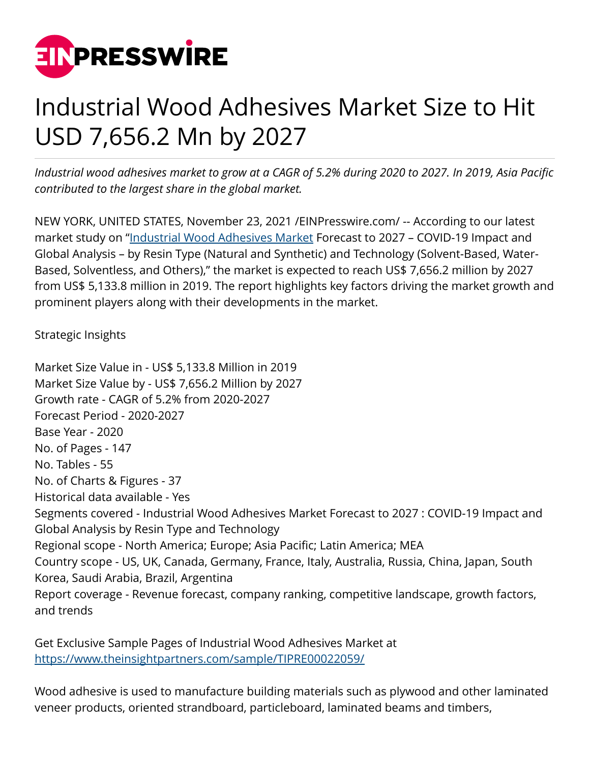

## Industrial Wood Adhesives Market Size to Hit USD 7,656.2 Mn by 2027

*Industrial wood adhesives market to grow at a CAGR of 5.2% during 2020 to 2027. In 2019, Asia Pacific contributed to the largest share in the global market.*

NEW YORK, UNITED STATES, November 23, 2021 /[EINPresswire.com/](http://www.einpresswire.com) -- According to our latest market study on "[Industrial Wood Adhesives Market](https://www.theinsightpartners.com/reports/industrial-wood-adhesives-market/) Forecast to 2027 - COVID-19 Impact and Global Analysis – by Resin Type (Natural and Synthetic) and Technology (Solvent-Based, Water-Based, Solventless, and Others)," the market is expected to reach US\$ 7,656.2 million by 2027 from US\$ 5,133.8 million in 2019. The report highlights key factors driving the market growth and prominent players along with their developments in the market.

Strategic Insights

Market Size Value in - US\$ 5,133.8 Million in 2019 Market Size Value by - US\$ 7,656.2 Million by 2027 Growth rate - CAGR of 5.2% from 2020-2027 Forecast Period - 2020-2027 Base Year - 2020 No. of Pages - 147 No. Tables - 55 No. of Charts & Figures - 37 Historical data available - Yes Segments covered - Industrial Wood Adhesives Market Forecast to 2027 : COVID-19 Impact and Global Analysis by Resin Type and Technology Regional scope - North America; Europe; Asia Pacific; Latin America; MEA Country scope - US, UK, Canada, Germany, France, Italy, Australia, Russia, China, Japan, South Korea, Saudi Arabia, Brazil, Argentina Report coverage - Revenue forecast, company ranking, competitive landscape, growth factors, and trends

Get Exclusive Sample Pages of Industrial Wood Adhesives Market at [https://www.theinsightpartners.com/sample/TIPRE00022059/](https://www.theinsightpartners.com/sample/TIPRE00022059/?utm_source=EINPressWire&utm_medium=10357)

Wood adhesive is used to manufacture building materials such as plywood and other laminated veneer products, oriented strandboard, particleboard, laminated beams and timbers,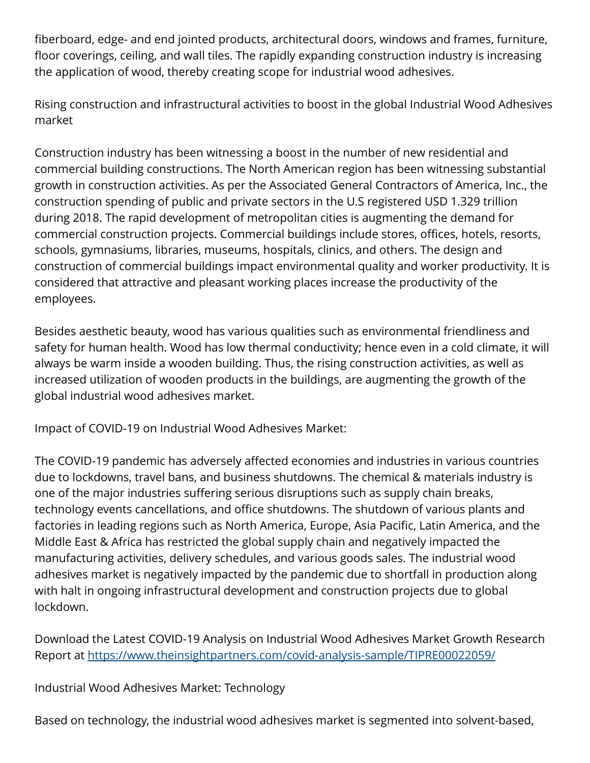fiberboard, edge- and end jointed products, architectural doors, windows and frames, furniture, floor coverings, ceiling, and wall tiles. The rapidly expanding construction industry is increasing the application of wood, thereby creating scope for industrial wood adhesives.

Rising construction and infrastructural activities to boost in the global Industrial Wood Adhesives market

Construction industry has been witnessing a boost in the number of new residential and commercial building constructions. The North American region has been witnessing substantial growth in construction activities. As per the Associated General Contractors of America, Inc., the construction spending of public and private sectors in the U.S registered USD 1.329 trillion during 2018. The rapid development of metropolitan cities is augmenting the demand for commercial construction projects. Commercial buildings include stores, offices, hotels, resorts, schools, gymnasiums, libraries, museums, hospitals, clinics, and others. The design and construction of commercial buildings impact environmental quality and worker productivity. It is considered that attractive and pleasant working places increase the productivity of the employees.

Besides aesthetic beauty, wood has various qualities such as environmental friendliness and safety for human health. Wood has low thermal conductivity; hence even in a cold climate, it will always be warm inside a wooden building. Thus, the rising construction activities, as well as increased utilization of wooden products in the buildings, are augmenting the growth of the global industrial wood adhesives market.

Impact of COVID-19 on Industrial Wood Adhesives Market:

The COVID-19 pandemic has adversely affected economies and industries in various countries due to lockdowns, travel bans, and business shutdowns. The chemical & materials industry is one of the major industries suffering serious disruptions such as supply chain breaks, technology events cancellations, and office shutdowns. The shutdown of various plants and factories in leading regions such as North America, Europe, Asia Pacific, Latin America, and the Middle East & Africa has restricted the global supply chain and negatively impacted the manufacturing activities, delivery schedules, and various goods sales. The industrial wood adhesives market is negatively impacted by the pandemic due to shortfall in production along with halt in ongoing infrastructural development and construction projects due to global lockdown.

Download the Latest COVID-19 Analysis on Industrial Wood Adhesives Market Growth Research Report at <https://www.theinsightpartners.com/covid-analysis-sample/TIPRE00022059/>

Industrial Wood Adhesives Market: Technology

Based on technology, the industrial wood adhesives market is segmented into solvent-based,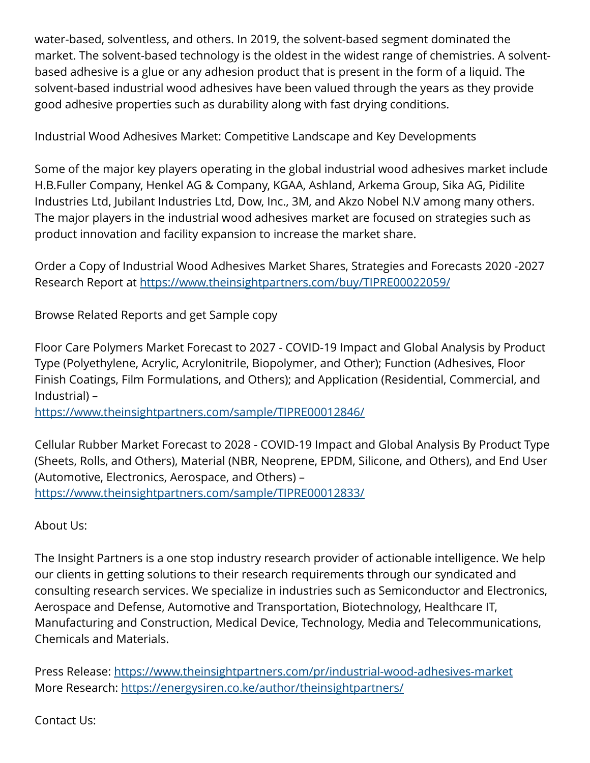water-based, solventless, and others. In 2019, the solvent-based segment dominated the market. The solvent-based technology is the oldest in the widest range of chemistries. A solventbased adhesive is a glue or any adhesion product that is present in the form of a liquid. The solvent-based industrial wood adhesives have been valued through the years as they provide good adhesive properties such as durability along with fast drying conditions.

Industrial Wood Adhesives Market: Competitive Landscape and Key Developments

Some of the major key players operating in the global industrial wood adhesives market include H.B.Fuller Company, Henkel AG & Company, KGAA, Ashland, Arkema Group, Sika AG, Pidilite Industries Ltd, Jubilant Industries Ltd, Dow, Inc., 3M, and Akzo Nobel N.V among many others. The major players in the industrial wood adhesives market are focused on strategies such as product innovation and facility expansion to increase the market share.

Order a Copy of Industrial Wood Adhesives Market Shares, Strategies and Forecasts 2020 -2027 Research Report at [https://www.theinsightpartners.com/buy/TIPRE00022059/](https://www.theinsightpartners.com/buy/TIPRE00022059/?utm_source=EINPressWire&utm_medium=10357)

Browse Related Reports and get Sample copy

Floor Care Polymers Market Forecast to 2027 - COVID-19 Impact and Global Analysis by Product Type (Polyethylene, Acrylic, Acrylonitrile, Biopolymer, and Other); Function (Adhesives, Floor Finish Coatings, Film Formulations, and Others); and Application (Residential, Commercial, and Industrial) –

<https://www.theinsightpartners.com/sample/TIPRE00012846/>

Cellular Rubber Market Forecast to 2028 - COVID-19 Impact and Global Analysis By Product Type (Sheets, Rolls, and Others), Material (NBR, Neoprene, EPDM, Silicone, and Others), and End User (Automotive, Electronics, Aerospace, and Others) – <https://www.theinsightpartners.com/sample/TIPRE00012833/>

About Us:

The Insight Partners is a one stop industry research provider of actionable intelligence. We help our clients in getting solutions to their research requirements through our syndicated and consulting research services. We specialize in industries such as Semiconductor and Electronics, Aerospace and Defense, Automotive and Transportation, Biotechnology, Healthcare IT, Manufacturing and Construction, Medical Device, Technology, Media and Telecommunications, Chemicals and Materials.

Press Release:<https://www.theinsightpartners.com/pr/industrial-wood-adhesives-market> More Research: <https://energysiren.co.ke/author/theinsightpartners/>

Contact Us: